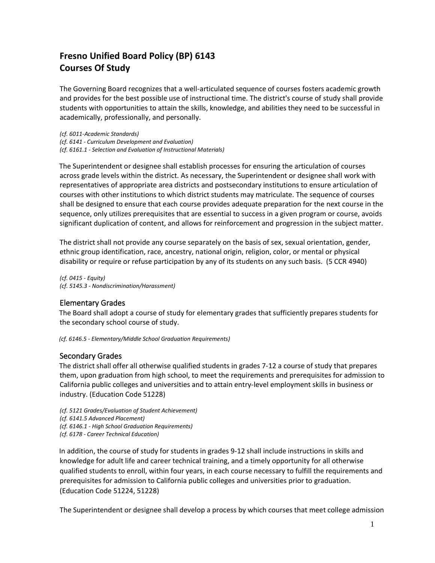## **Fresno Unified Board Policy (BP) 6143 Courses Of Study**

The Governing Board recognizes that a well-articulated sequence of courses fosters academic growth and provides for the best possible use of instructional time. The district's course of study shall provide students with opportunities to attain the skills, knowledge, and abilities they need to be successful in academically, professionally, and personally.

*(cf. 6011-Academic Standards) (cf. 6141 - Curriculum Development and Evaluation) (cf. 6161.1 - Selection and Evaluation of Instructional Materials)*

The Superintendent or designee shall establish processes for ensuring the articulation of courses across grade levels within the district. As necessary, the Superintendent or designee shall work with representatives of appropriate area districts and postsecondary institutions to ensure articulation of courses with other institutions to which district students may matriculate. The sequence of courses shall be designed to ensure that each course provides adequate preparation for the next course in the sequence, only utilizes prerequisites that are essential to success in a given program or course, avoids significant duplication of content, and allows for reinforcement and progression in the subject matter.

The district shall not provide any course separately on the basis of sex, sexual orientation, gender, ethnic group identification, race, ancestry, national origin, religion, color, or mental or physical disability or require or refuse participation by any of its students on any such basis. (5 CCR 4940)

*(cf. 0415 - Equity) (cf. 5145.3 - Nondiscrimination/Harassment)*

## Elementary Grades

The Board shall adopt a course of study for elementary grades that sufficiently prepares students for the secondary school course of study.

*(cf. 6146.5 - Elementary/Middle School Graduation Requirements)* 

## Secondary Grades

The district shall offer all otherwise qualified students in grades 7-12 a course of study that prepares them, upon graduation from high school, to meet the requirements and prerequisites for admission to California public colleges and universities and to attain entry-level employment skills in business or industry. (Education Code 51228)

*(cf. 5121 Grades/Evaluation of Student Achievement) (cf. 6141.5 Advanced Placement) (cf. 6146.1 - High School Graduation Requirements) (cf. 6178 - Career Technical Education)*

In addition, the course of study for students in grades 9-12 shall include instructions in skills and knowledge for adult life and career technical training, and a timely opportunity for all otherwise qualified students to enroll, within four years, in each course necessary to fulfill the requirements and prerequisites for admission to California public colleges and universities prior to graduation. (Education Code 51224, 51228)

The Superintendent or designee shall develop a process by which courses that meet college admission